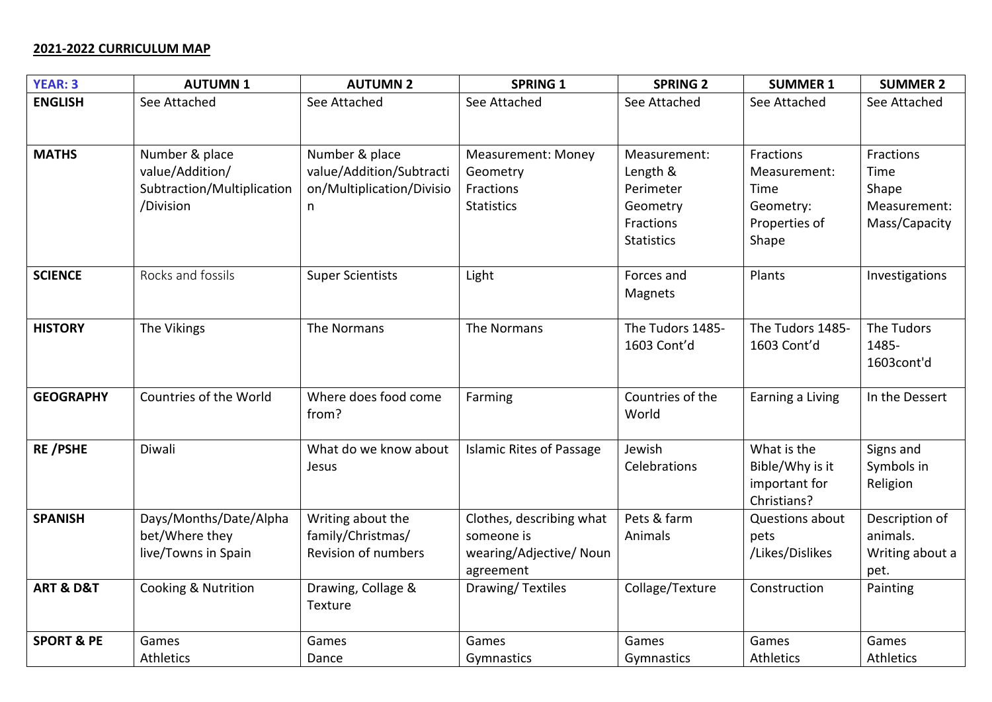## **2021-2022 CURRICULUM MAP**

| <b>YEAR: 3</b>           | <b>AUTUMN1</b>                                                               | <b>AUTUMN 2</b>                                                         | <b>SPRING 1</b>                                                                | <b>SPRING 2</b>                                                                     | <b>SUMMER 1</b>                                                          | <b>SUMMER 2</b>                                             |
|--------------------------|------------------------------------------------------------------------------|-------------------------------------------------------------------------|--------------------------------------------------------------------------------|-------------------------------------------------------------------------------------|--------------------------------------------------------------------------|-------------------------------------------------------------|
| <b>ENGLISH</b>           | See Attached                                                                 | See Attached                                                            | See Attached                                                                   | See Attached                                                                        | See Attached                                                             | See Attached                                                |
| <b>MATHS</b>             | Number & place<br>value/Addition/<br>Subtraction/Multiplication<br>/Division | Number & place<br>value/Addition/Subtracti<br>on/Multiplication/Divisio | <b>Measurement: Money</b><br>Geometry<br>Fractions<br><b>Statistics</b>        | Measurement:<br>Length &<br>Perimeter<br>Geometry<br>Fractions<br><b>Statistics</b> | Fractions<br>Measurement:<br>Time<br>Geometry:<br>Properties of<br>Shape | Fractions<br>Time<br>Shape<br>Measurement:<br>Mass/Capacity |
| <b>SCIENCE</b>           | Rocks and fossils                                                            | <b>Super Scientists</b>                                                 | Light                                                                          | Forces and<br>Magnets                                                               | Plants                                                                   | Investigations                                              |
| <b>HISTORY</b>           | The Vikings                                                                  | The Normans                                                             | The Normans                                                                    | The Tudors 1485-<br>1603 Cont'd                                                     | The Tudors 1485-<br>1603 Cont'd                                          | The Tudors<br>1485-<br>1603cont'd                           |
| <b>GEOGRAPHY</b>         | Countries of the World                                                       | Where does food come<br>from?                                           | Farming                                                                        | Countries of the<br>World                                                           | Earning a Living                                                         | In the Dessert                                              |
| <b>RE/PSHE</b>           | Diwali                                                                       | What do we know about<br>Jesus                                          | <b>Islamic Rites of Passage</b>                                                | Jewish<br>Celebrations                                                              | What is the<br>Bible/Why is it<br>important for<br>Christians?           | Signs and<br>Symbols in<br>Religion                         |
| <b>SPANISH</b>           | Days/Months/Date/Alpha<br>bet/Where they<br>live/Towns in Spain              | Writing about the<br>family/Christmas/<br>Revision of numbers           | Clothes, describing what<br>someone is<br>wearing/Adjective/ Noun<br>agreement | Pets & farm<br>Animals                                                              | Questions about<br>pets<br>/Likes/Dislikes                               | Description of<br>animals.<br>Writing about a<br>pet.       |
| <b>ART &amp; D&amp;T</b> | Cooking & Nutrition                                                          | Drawing, Collage &<br>Texture                                           | Drawing/Textiles                                                               | Collage/Texture                                                                     | Construction                                                             | Painting                                                    |
| <b>SPORT &amp; PE</b>    | Games<br>Athletics                                                           | Games<br>Dance                                                          | Games<br>Gymnastics                                                            | Games<br>Gymnastics                                                                 | Games<br>Athletics                                                       | Games<br>Athletics                                          |